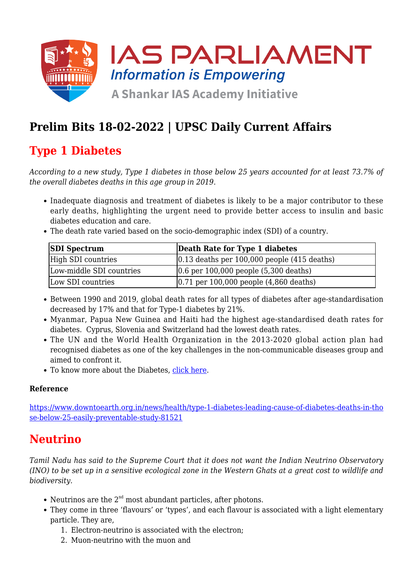

# **Prelim Bits 18-02-2022 | UPSC Daily Current Affairs**

# **Type 1 Diabetes**

*According to a new study, Type 1 diabetes in those below 25 years accounted for at least 73.7% of the overall diabetes deaths in this age group in 2019.*

- Inadequate diagnosis and treatment of diabetes is likely to be a major contributor to these early deaths, highlighting the urgent need to provide better access to insulin and basic diabetes education and care.
- The death rate varied based on the socio-demographic index (SDI) of a country.

| <b>SDI Spectrum</b>      | Death Rate for Type 1 diabetes                   |
|--------------------------|--------------------------------------------------|
| High SDI countries       | $ 0.13$ deaths per 100,000 people $(415$ deaths) |
| Low-middle SDI countries | $(0.6$ per 100,000 people $(5,300$ deaths)       |
| Low SDI countries        | $(0.71$ per 100,000 people $(4,860$ deaths)      |

- Between 1990 and 2019, global death rates for all types of diabetes after age-standardisation decreased by 17% and that for Type-1 diabetes by 21%.
- Myanmar, Papua New Guinea and Haiti had the highest age-standardised death rates for diabetes. Cyprus, Slovenia and Switzerland had the lowest death rates.
- The UN and the World Health Organization in the 2013-2020 global action plan had recognised diabetes as one of the key challenges in the non-communicable diseases group and aimed to confront it.
- To know more about the Diabetes, [click here](https://www.iasparliament.com/current-affairs/upsc-daily-current-affairs-prelim-bits-19-04-2021).

### **Reference**

[https://www.downtoearth.org.in/news/health/type-1-diabetes-leading-cause-of-diabetes-deaths-in-tho](https://www.downtoearth.org.in/news/health/type-1-diabetes-leading-cause-of-diabetes-deaths-in-those-below-25-easily-preventable-study-81521) [se-below-25-easily-preventable-study-81521](https://www.downtoearth.org.in/news/health/type-1-diabetes-leading-cause-of-diabetes-deaths-in-those-below-25-easily-preventable-study-81521)

## **Neutrino**

*Tamil Nadu has said to the Supreme Court that it does not want the Indian Neutrino Observatory (INO) to be set up in a sensitive ecological zone in the Western Ghats at a great cost to wildlife and biodiversity.*

- Neutrinos are the  $2<sup>nd</sup>$  most abundant particles, after photons.
- They come in three 'flavours' or 'types', and each flavour is associated with a light elementary particle. They are,
	- 1. Electron-neutrino is associated with the electron;
	- 2. Muon-neutrino with the muon and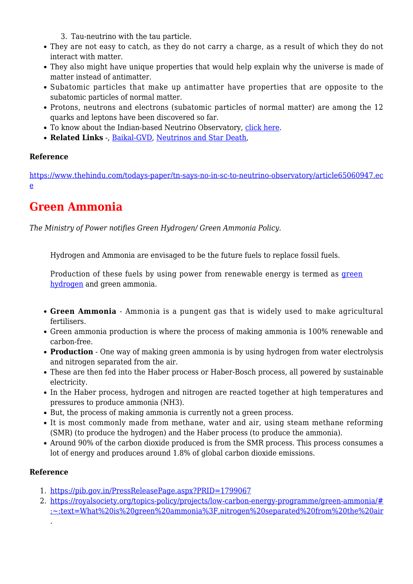- 3. Tau-neutrino with the tau particle.
- They are not easy to catch, as they do not carry a charge, as a result of which they do not interact with matter.
- They also might have unique properties that would help explain why the universe is made of matter instead of antimatter.
- Subatomic particles that make up antimatter have properties that are opposite to the subatomic particles of normal matter.
- Protons, neutrons and electrons (subatomic particles of normal matter) are among the 12 quarks and leptons have been discovered so far.
- To know about the Indian-based Neutrino Observatory, [click here](https://www.iasparliament.com/current-affairs/prelim-bits-15-03-2018).
- **Related Links** -, [Baikal-GVD](https://www.iasparliament.com/current-affairs/upsc-daily-current-affairs-prelim-bits-03-04-2021), [Neutrinos and Star Death](https://www.iasparliament.com/current-affairs/upsc-daily-current-affairs-prelim-bits-02-02-2021),

### **Reference**

[https://www.thehindu.com/todays-paper/tn-says-no-in-sc-to-neutrino-observatory/article65060947.ec](https://www.thehindu.com/todays-paper/tn-says-no-in-sc-to-neutrino-observatory/article65060947.ece) [e](https://www.thehindu.com/todays-paper/tn-says-no-in-sc-to-neutrino-observatory/article65060947.ece)

## **Green Ammonia**

*The Ministry of Power notifies Green Hydrogen/ Green Ammonia Policy.*

Hydrogen and Ammonia are envisaged to be the future fuels to replace fossil fuels.

Production of these fuels by using power from renewable energy is termed as [green](https://www.iasparliament.com/current-affairs/prelim-bits-21-12-2021-upsc-daily-current-affairs) [hydrogen](https://www.iasparliament.com/current-affairs/prelim-bits-21-12-2021-upsc-daily-current-affairs) and green ammonia.

- **Green Ammonia** Ammonia is a pungent gas that is widely used to make agricultural fertilisers.
- Green ammonia production is where the process of making ammonia is 100% renewable and carbon-free.
- **Production** One way of making green ammonia is by using hydrogen from water electrolysis and nitrogen separated from the air.
- These are then fed into the Haber process or Haber-Bosch process, all powered by sustainable electricity.
- In the Haber process, hydrogen and nitrogen are reacted together at high temperatures and pressures to produce ammonia (NH3).
- But, the process of making ammonia is currently not a green process.
- It is most commonly made from methane, water and air, using steam methane reforming (SMR) (to produce the hydrogen) and the Haber process (to produce the ammonia).
- Around 90% of the carbon dioxide produced is from the SMR process. This process consumes a lot of energy and produces around 1.8% of global carbon dioxide emissions.

### **Reference**

.

- 1. <https://pib.gov.in/PressReleasePage.aspx?PRID=1799067>
- 2. [https://royalsociety.org/topics-policy/projects/low-carbon-energy-programme/green-ammonia/#](https://royalsociety.org/topics-policy/projects/low-carbon-energy-programme/green-ammonia/#:~:text=What%20is%20green%20ammonia%3F,nitrogen%20separated%20from%20the%20air) [:~:text=What%20is%20green%20ammonia%3F,nitrogen%20separated%20from%20the%20air](https://royalsociety.org/topics-policy/projects/low-carbon-energy-programme/green-ammonia/#:~:text=What%20is%20green%20ammonia%3F,nitrogen%20separated%20from%20the%20air)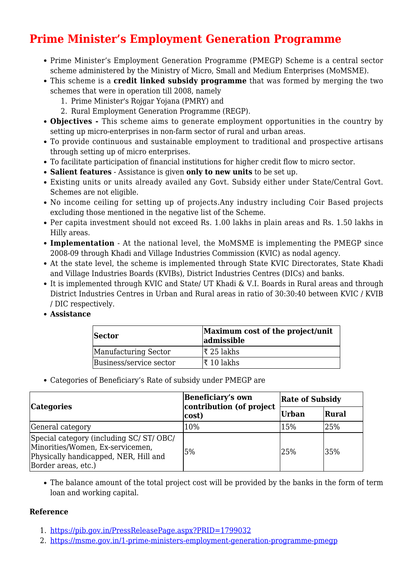# **Prime Minister's Employment Generation Programme**

- Prime Minister's Employment Generation Programme (PMEGP) Scheme is a central sector scheme administered by the Ministry of Micro, Small and Medium Enterprises (MoMSME).
- This scheme is a **credit linked subsidy programme** that was formed by merging the two schemes that were in operation till 2008, namely
	- 1. Prime Minister's Rojgar Yojana (PMRY) and
	- 2. Rural Employment Generation Programme (REGP).
- **Objectives** This scheme aims to generate employment opportunities in the country by setting up micro-enterprises in non-farm sector of rural and urban areas.
- To provide continuous and sustainable employment to traditional and prospective artisans through setting up of micro enterprises.
- To facilitate participation of financial institutions for higher credit flow to micro sector.
- **Salient features** Assistance is given **only to new units** to be set up.
- Existing units or units already availed any Govt. Subsidy either under State/Central Govt. Schemes are not eligible.
- No income ceiling for setting up of projects.Any industry including Coir Based projects excluding those mentioned in the negative list of the Scheme.
- Per capita investment should not exceed Rs. 1.00 lakhs in plain areas and Rs. 1.50 lakhs in Hilly areas.
- **Implementation** At the national level, the MoMSME is implementing the PMEGP since 2008-09 through Khadi and Village Industries Commission (KVIC) as nodal agency.
- At the state level, the scheme is implemented through State KVIC Directorates, State Khadi and Village Industries Boards (KVIBs), District Industries Centres (DICs) and banks.
- It is implemented through KVIC and State/ UT Khadi & V.I. Boards in Rural areas and through District Industries Centres in Urban and Rural areas in ratio of 30:30:40 between KVIC / KVIB / DIC respectively.
- **Assistance**

| <b>Sector</b>           | Maximum cost of the project/unit<br>admissible |  |
|-------------------------|------------------------------------------------|--|
| Manufacturing Sector    | $\vert$ ₹ 25 lakhs                             |  |
| Business/service sector | ∣₹ 10 lakhs                                    |  |

Categories of Beneficiary's Rate of subsidy under PMEGP are

| <b>Categories</b>                                                                                                                            | <b>Beneficiary's own</b><br>contribution (of project<br>cost) | <b>Rate of Subsidy</b> |       |
|----------------------------------------------------------------------------------------------------------------------------------------------|---------------------------------------------------------------|------------------------|-------|
|                                                                                                                                              |                                                               | Urban                  | Rural |
| General category                                                                                                                             | 10%                                                           | 15%                    | 25%   |
| Special category (including SC/ ST/ OBC/<br>Minorities/Women, Ex-servicemen,<br>Physically handicapped, NER, Hill and<br>Border areas, etc.) | 5%                                                            | 25%                    | 35%   |

The balance amount of the total project cost will be provided by the banks in the form of term loan and working capital.

#### **Reference**

- 1. <https://pib.gov.in/PressReleasePage.aspx?PRID=1799032>
- 2. <https://msme.gov.in/1-prime-ministers-employment-generation-programme-pmegp>